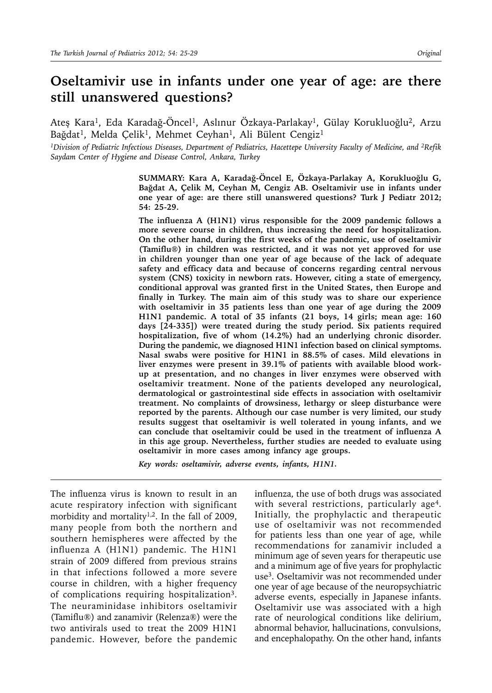# **Oseltamivir use in infants under one year of age: are there still unanswered questions?**

Ateş Kara<sup>1</sup>, Eda Karadağ-Öncel<sup>1</sup>, Aslınur Özkaya-Parlakay<sup>1</sup>, Gülay Korukluoğlu<sup>2</sup>, Arzu Bağdat<sup>1</sup>, Melda Çelik<sup>1</sup>, Mehmet Ceyhan<sup>1</sup>, Ali Bülent Cengiz<sup>1</sup>

*1Division of Pediatric Infectious Diseases, Department of Pediatrics, Hacettepe University Faculty of Medicine, and 2Refik Saydam Center of Hygiene and Disease Control, Ankara, Turkey*

> **SUMMARY: Kara A, Karadağ-Öncel E, Özkaya-Parlakay A, Korukluoğlu G, Bağdat A, Çelik M, Ceyhan M, Cengiz AB. Oseltamivir use in infants under one year of age: are there still unanswered questions? Turk J Pediatr 2012; 54: 25-29.**

> **The influenza A (H1N1) virus responsible for the 2009 pandemic follows a more severe course in children, thus increasing the need for hospitalization. On the other hand, during the first weeks of the pandemic, use of oseltamivir (Tamiflu®) in children was restricted, and it was not yet approved for use in children younger than one year of age because of the lack of adequate safety and efficacy data and because of concerns regarding central nervous system (CNS) toxicity in newborn rats. However, citing a state of emergency, conditional approval was granted first in the United States, then Europe and finally in Turkey. The main aim of this study was to share our experience with oseltamivir in 35 patients less than one year of age during the 2009 H1N1 pandemic. A total of 35 infants (21 boys, 14 girls; mean age: 160 days [24-335]) were treated during the study period. Six patients required hospitalization, five of whom (14.2%) had an underlying chronic disorder. During the pandemic, we diagnosed H1N1 infection based on clinical symptoms. Nasal swabs were positive for H1N1 in 88.5% of cases. Mild elevations in liver enzymes were present in 39.1% of patients with available blood workup at presentation, and no changes in liver enzymes were observed with oseltamivir treatment. None of the patients developed any neurological, dermatological or gastrointestinal side effects in association with oseltamivir treatment. No complaints of drowsiness, lethargy or sleep disturbance were reported by the parents. Although our case number is very limited, our study results suggest that oseltamivir is well tolerated in young infants, and we can conclude that oseltamivir could be used in the treatment of influenza A in this age group. Nevertheless, further studies are needed to evaluate using oseltamivir in more cases among infancy age groups.**

*Key words: oseltamivir, adverse events, infants, H1N1.*

The influenza virus is known to result in an acute respiratory infection with significant morbidity and mortality<sup>1,2</sup>. In the fall of 2009, many people from both the northern and southern hemispheres were affected by the influenza A (H1N1) pandemic. The H1N1 strain of 2009 differed from previous strains in that infections followed a more severe course in children, with a higher frequency of complications requiring hospitalization3. The neuraminidase inhibitors oseltamivir (Tamiflu®) and zanamivir (Relenza®) were the two antivirals used to treat the 2009 H1N1 pandemic. However, before the pandemic influenza, the use of both drugs was associated with several restrictions, particularly age<sup>4</sup>. Initially, the prophylactic and therapeutic use of oseltamivir was not recommended for patients less than one year of age, while recommendations for zanamivir included a minimum age of seven years for therapeutic use and a minimum age of five years for prophylactic use3. Oseltamivir was not recommended under one year of age because of the neuropsychiatric adverse events, especially in Japanese infants. Oseltamivir use was associated with a high rate of neurological conditions like delirium, abnormal behavior, hallucinations, convulsions, and encephalopathy. On the other hand, infants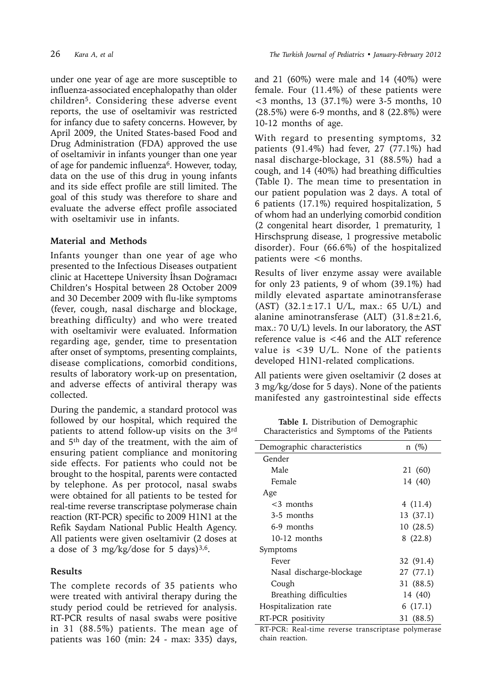under one year of age are more susceptible to influenza-associated encephalopathy than older children5. Considering these adverse event reports, the use of oseltamivir was restricted for infancy due to safety concerns. However, by April 2009, the United States-based Food and Drug Administration (FDA) approved the use of oseltamivir in infants younger than one year of age for pandemic influenza $6$ . However, today, data on the use of this drug in young infants and its side effect profile are still limited. The goal of this study was therefore to share and evaluate the adverse effect profile associated with oseltamivir use in infants.

## **Material and Methods**

Infants younger than one year of age who presented to the Infectious Diseases outpatient clinic at Hacettepe University İhsan Doğramacı Children's Hospital between 28 October 2009 and 30 December 2009 with flu-like symptoms (fever, cough, nasal discharge and blockage, breathing difficulty) and who were treated with oseltamivir were evaluated. Information regarding age, gender, time to presentation after onset of symptoms, presenting complaints, disease complications, comorbid conditions, results of laboratory work-up on presentation, and adverse effects of antiviral therapy was collected.

During the pandemic, a standard protocol was followed by our hospital, which required the patients to attend follow-up visits on the 3rd and 5th day of the treatment, with the aim of ensuring patient compliance and monitoring side effects. For patients who could not be brought to the hospital, parents were contacted by telephone. As per protocol, nasal swabs were obtained for all patients to be tested for real-time reverse transcriptase polymerase chain reaction (RT-PCR) specific to 2009 H1N1 at the Refik Saydam National Public Health Agency. All patients were given oseltamivir (2 doses at a dose of 3 mg/kg/dose for 5 days) $3,6$ .

# **Results**

The complete records of 35 patients who were treated with antiviral therapy during the study period could be retrieved for analysis. RT-PCR results of nasal swabs were positive in 31 (88.5%) patients. The mean age of patients was 160 (min: 24 - max: 335) days,

and 21 (60%) were male and 14 (40%) were female. Four (11.4%) of these patients were <3 months, 13 (37.1%) were 3-5 months, 10 (28.5%) were 6-9 months, and 8 (22.8%) were 10-12 months of age.

With regard to presenting symptoms, 32 patients (91.4%) had fever, 27 (77.1%) had nasal discharge-blockage, 31 (88.5%) had a cough, and 14 (40%) had breathing difficulties (Table I). The mean time to presentation in our patient population was 2 days. A total of 6 patients (17.1%) required hospitalization, 5 of whom had an underlying comorbid condition (2 congenital heart disorder, 1 prematurity, 1 Hirschsprung disease, 1 progressive metabolic disorder). Four (66.6%) of the hospitalized patients were <6 months.

Results of liver enzyme assay were available for only 23 patients, 9 of whom (39.1%) had mildly elevated aspartate aminotransferase (AST)  $(32.1 \pm 17.1 \text{ U/L}$ , max.: 65 U/L) and alanine aminotransferase (ALT) (31.8±21.6, max.: 70 U/L) levels. In our laboratory, the AST reference value is <46 and the ALT reference value is <39 U/L. None of the patients developed H1N1-related complications.

All patients were given oseltamivir (2 doses at 3 mg/kg/dose for 5 days). None of the patients manifested any gastrointestinal side effects

**Table I.** Distribution of Demographic Characteristics and Symptoms of the Patients

| Demographic characteristics | $n \ (\%)$ |
|-----------------------------|------------|
| Gender                      |            |
| Male                        | 21 (60)    |
| Female                      | 14 (40)    |
| Age                         |            |
| <3 months                   | 4 (11.4)   |
| 3-5 months                  | 13 (37.1)  |
| 6-9 months                  | 10(28.5)   |
| 10-12 months                | 8(22.8)    |
| Symptoms                    |            |
| Fever                       | 32 (91.4)  |
| Nasal discharge-blockage    | 27 (77.1)  |
| Cough                       | 31 (88.5)  |
| Breathing difficulties      | 14 (40)    |
| Hospitalization rate        | 6(17.1)    |
| RT-PCR positivity           | 31 (88.5)  |

RT-PCR: Real-time reverse transcriptase polymerase chain reaction.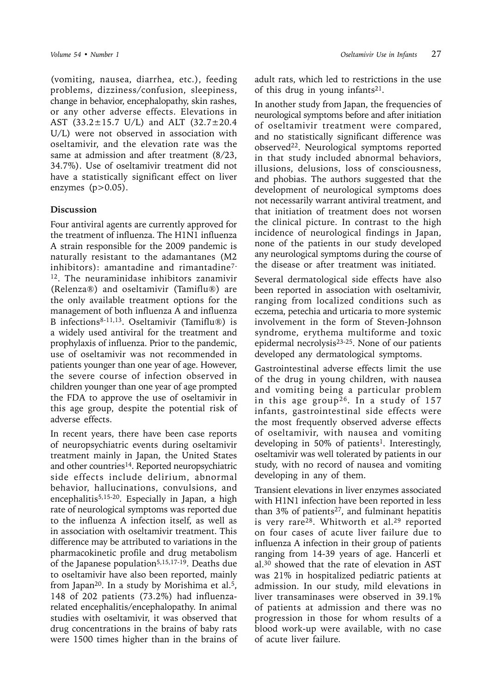(vomiting, nausea, diarrhea, etc.), feeding problems, dizziness/confusion, sleepiness, change in behavior, encephalopathy, skin rashes, or any other adverse effects. Elevations in AST (33.2±15.7 U/L) and ALT (32.7±20.4 U/L) were not observed in association with oseltamivir, and the elevation rate was the same at admission and after treatment (8/23, 34.7%). Use of oseltamivir treatment did not have a statistically significant effect on liver enzymes  $(p>0.05)$ .

## **Discussion**

Four antiviral agents are currently approved for the treatment of influenza. The H1N1 influenza A strain responsible for the 2009 pandemic is naturally resistant to the adamantanes (M2 inhibitors): amantadine and rimantadine7-  $12$ . The neuraminidase inhibitors zanamivir (Relenza®) and oseltamivir (Tamiflu®) are the only available treatment options for the management of both influenza A and influenza B infections8-11,13. Oseltamivir (Tamiflu®) is a widely used antiviral for the treatment and prophylaxis of influenza. Prior to the pandemic, use of oseltamivir was not recommended in patients younger than one year of age. However, the severe course of infection observed in children younger than one year of age prompted the FDA to approve the use of oseltamivir in this age group, despite the potential risk of adverse effects.

In recent years, there have been case reports of neuropsychiatric events during oseltamivir treatment mainly in Japan, the United States and other countries<sup>14</sup>. Reported neuropsychiatric side effects include delirium, abnormal behavior, hallucinations, convulsions, and encephalitis<sup>5,15-20</sup>. Especially in Japan, a high rate of neurological symptoms was reported due to the influenza A infection itself, as well as in association with oseltamivir treatment. This difference may be attributed to variations in the pharmacokinetic profile and drug metabolism of the Japanese population<sup>5,15,17-19</sup>. Deaths due to oseltamivir have also been reported, mainly from Japan<sup>20</sup>. In a study by Morishima et al.<sup>5</sup>, 148 of 202 patients (73.2%) had influenzarelated encephalitis/encephalopathy. In animal studies with oseltamivir, it was observed that drug concentrations in the brains of baby rats were 1500 times higher than in the brains of adult rats, which led to restrictions in the use of this drug in young infants<sup>21</sup>.

In another study from Japan, the frequencies of neurological symptoms before and after initiation of oseltamivir treatment were compared, and no statistically significant difference was observed22. Neurological symptoms reported in that study included abnormal behaviors, illusions, delusions, loss of consciousness, and phobias. The authors suggested that the development of neurological symptoms does not necessarily warrant antiviral treatment, and that initiation of treatment does not worsen the clinical picture. In contrast to the high incidence of neurological findings in Japan, none of the patients in our study developed any neurological symptoms during the course of the disease or after treatment was initiated.

Several dermatological side effects have also been reported in association with oseltamivir, ranging from localized conditions such as eczema, petechia and urticaria to more systemic involvement in the form of Steven-Johnson syndrome, erythema multiforme and toxic epidermal necrolysis23-25. None of our patients developed any dermatological symptoms.

Gastrointestinal adverse effects limit the use of the drug in young children, with nausea and vomiting being a particular problem in this age group<sup>26</sup>. In a study of  $157$ infants, gastrointestinal side effects were the most frequently observed adverse effects of oseltamivir, with nausea and vomiting developing in 50% of patients<sup>1</sup>. Interestingly, oseltamivir was well tolerated by patients in our study, with no record of nausea and vomiting developing in any of them.

Transient elevations in liver enzymes associated with H1N1 infection have been reported in less than  $3\%$  of patients<sup>27</sup>, and fulminant hepatitis is very rare<sup>28</sup>. Whitworth et al.<sup>29</sup> reported on four cases of acute liver failure due to influenza A infection in their group of patients ranging from 14-39 years of age. Hancerli et al.30 showed that the rate of elevation in AST was 21% in hospitalized pediatric patients at admission. In our study, mild elevations in liver transaminases were observed in 39.1% of patients at admission and there was no progression in those for whom results of a blood work-up were available, with no case of acute liver failure.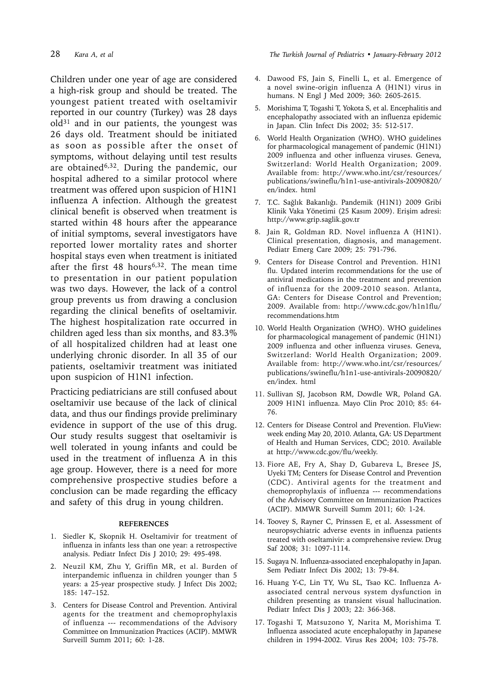Children under one year of age are considered a high-risk group and should be treated. The youngest patient treated with oseltamivir reported in our country (Turkey) was 28 days old31 and in our patients, the youngest was 26 days old. Treatment should be initiated as soon as possible after the onset of symptoms, without delaying until test results are obtained<sup>6,32</sup>. During the pandemic, our hospital adhered to a similar protocol where treatment was offered upon suspicion of H1N1 influenza A infection. Although the greatest clinical benefit is observed when treatment is started within 48 hours after the appearance of initial symptoms, several investigators have reported lower mortality rates and shorter hospital stays even when treatment is initiated after the first 48 hours<sup>6,32</sup>. The mean time to presentation in our patient population was two days. However, the lack of a control group prevents us from drawing a conclusion regarding the clinical benefits of oseltamivir. The highest hospitalization rate occurred in children aged less than six months, and 83.3% of all hospitalized children had at least one underlying chronic disorder. In all 35 of our patients, oseltamivir treatment was initiated upon suspicion of H1N1 infection.

Practicing pediatricians are still confused about oseltamivir use because of the lack of clinical data, and thus our findings provide preliminary evidence in support of the use of this drug. Our study results suggest that oseltamivir is well tolerated in young infants and could be used in the treatment of influenza A in this age group. However, there is a need for more comprehensive prospective studies before a conclusion can be made regarding the efficacy and safety of this drug in young children.

#### **REFERENCES**

- 1. Siedler K, Skopnik H. Oseltamivir for treatment of influenza in infants less than one year: a retrospective analysis. Pediatr Infect Dis J 2010; 29: 495-498.
- 2. Neuzil KM, Zhu Y, Griffin MR, et al. Burden of interpandemic influenza in children younger than 5 years: a 25-year prospective study. J Infect Dis 2002; 185: 147–152.
- 3. Centers for Disease Control and Prevention. Antiviral agents for the treatment and chemoprophylaxis of influenza --- recommendations of the Advisory Committee on Immunization Practices (ACIP). MMWR Surveill Summ 2011; 60: 1-28.

28 *Kara A, et al The Turkish Journal of Pediatrics • January-February 2012*

- 4. Dawood FS, Jain S, Finelli L, et al. Emergence of a novel swine-origin influenza A (H1N1) virus in humans. N Engl J Med 2009; 360: 2605-2615.
- 5. Morishima T, Togashi T, Yokota S, et al. Encephalitis and encephalopathy associated with an influenza epidemic in Japan. Clin Infect Dis 2002; 35: 512-517.
- 6. World Health Organization (WHO). WHO guidelines for pharmacological management of pandemic (H1N1) 2009 influenza and other influenza viruses. Geneva, Switzerland: World Health Organization; 2009. Available from: http://www.who.int/csr/resources/ publications/swineflu/h1n1-use-antivirals-20090820/ en/index. html
- 7. T.C. Sağlık Bakanlığı. Pandemik (H1N1) 2009 Gribi Klinik Vaka Yönetimi (25 Kasım 2009). Erişim adresi: http://www.grip.saglik.gov.tr
- 8. Jain R, Goldman RD. Novel influenza A (H1N1). Clinical presentation, diagnosis, and management. Pediatr Emerg Care 2009; 25: 791-796.
- 9. Centers for Disease Control and Prevention. H1N1 flu. Updated interim recommendations for the use of antiviral medications in the treatment and prevention of influenza for the 2009-2010 season. Atlanta, GA: Centers for Disease Control and Prevention; 2009. Available from: http://www.cdc.gov/h1n1flu/ recommendations.htm
- 10. World Health Organization (WHO). WHO guidelines for pharmacological management of pandemic (H1N1) 2009 influenza and other influenza viruses. Geneva, Switzerland: World Health Organization; 2009. Available from: http://www.who.int/csr/resources/ publications/swineflu/h1n1-use-antivirals-20090820/ en/index. html
- 11. Sullivan SJ, Jacobson RM, Dowdle WR, Poland GA. 2009 H1N1 influenza. Mayo Clin Proc 2010; 85: 64- 76.
- 12. Centers for Disease Control and Prevention. FluView: week ending May 20, 2010. Atlanta, GA: US Department of Health and Human Services, CDC; 2010. Available at http://www.cdc.gov/flu/weekly.
- 13. Fiore AE, Fry A, Shay D, Gubareva L, Bresee JS, Uyeki TM; Centers for Disease Control and Prevention (CDC). Antiviral agents for the treatment and chemoprophylaxis of influenza --- recommendations of the Advisory Committee on Immunization Practices (ACIP). MMWR Surveill Summ 2011; 60: 1-24.
- 14. Toovey S, Rayner C, Prinssen E, et al. Assessment of neuropsychiatric adverse events in influenza patients treated with oseltamivir: a comprehensive review. Drug Saf 2008; 31: 1097-1114.
- 15. Sugaya N. Influenza-associated encephalopathy in Japan. Sem Pediatr Infect Dis 2002; 13: 79-84.
- 16. Huang Y-C, Lin TY, Wu SL, Tsao KC. Influenza Aassociated central nervous system dysfunction in children presenting as transient visual hallucination. Pediatr Infect Dis J 2003; 22: 366-368.
- 17. Togashi T, Matsuzono Y, Narita M, Morishima T. Influenza associated acute encephalopathy in Japanese children in 1994-2002. Virus Res 2004; 103: 75-78.